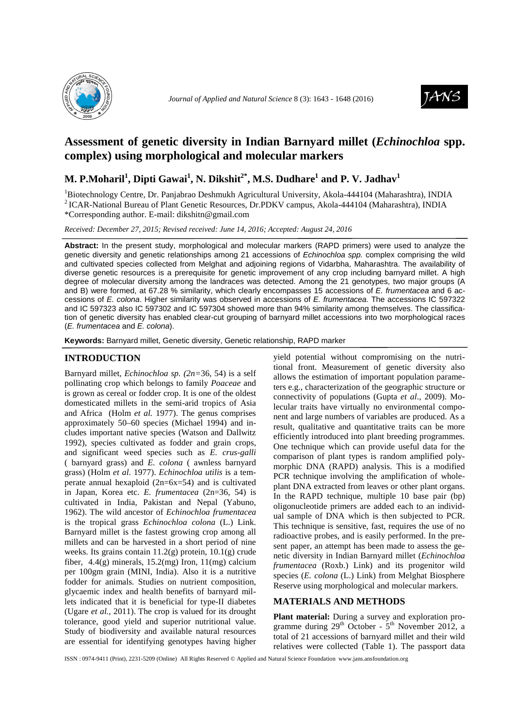



# **Assessment of genetic diversity in Indian Barnyard millet (***Echinochloa* **spp. complex) using morphological and molecular markers**

# **M. P.Moharil<sup>1</sup> , Dipti Gawai<sup>1</sup> , N. Dikshit2\*, M.S. Dudhare<sup>1</sup> and P. V. Jadhav<sup>1</sup>**

<sup>1</sup>Biotechnology Centre, Dr. Panjabrao Deshmukh Agricultural University, Akola-444104 (Maharashtra), INDIA <sup>2</sup> ICAR-National Bureau of Plant Genetic Resources, Dr.PDKV campus, Akola-444104 (Maharashtra), INDIA \*Corresponding author. E-mail: dikshitn@gmail.com

*Received: December 27, 2015; Revised received: June 14, 2016; Accepted: August 24, 2016*

**Abstract:** In the present study, morphological and molecular markers (RAPD primers) were used to analyze the genetic diversity and genetic relationships among 21 accessions of Echinochloa spp. complex comprising the wild and cultivated species collected from Melghat and adjoining regions of Vidarbha, Maharashtra. The availability of diverse genetic resources is a prerequisite for genetic improvement of any crop including barnyard millet. A high degree of molecular diversity among the landraces was detected. Among the 21 genotypes, two major groups (A and B) were formed, at 67.28 % similarity, which clearly encompasses 15 accessions of E. frumentacea and 6 accessions of E. colona. Higher similarity was observed in accessions of E. frumentacea. The accessions IC 597322 and IC 597323 also IC 597302 and IC 597304 showed more than 94% similarity among themselves. The classification of genetic diversity has enabled clear-cut grouping of barnyard millet accessions into two morphological races (E. frumentacea and E. colona).

**Keywords:** Barnyard millet, Genetic diversity, Genetic relationship, RAPD marker

# **INTRODUCTION**

Barnyard millet, *Echinochloa sp. (2n=*36, 54) is a self pollinating crop which belongs to family *Poaceae* and is grown as cereal or fodder crop. It is one of the oldest domesticated millets in the semi-arid tropics of Asia and Africa (Holm *et al.* 1977). The genus comprises approximately 50–60 species (Michael 1994) and includes important native species (Watson and Dallwitz 1992), species cultivated as fodder and grain crops, and significant weed species such as *E. crus-galli*  ( barnyard grass) and *E. colona* ( awnless barnyard grass) (Holm *et al*. 1977). *Echinochloa utilis* is a temperate annual hexaploid (2n=6x=54) and is cultivated in Japan, Korea etc. *E. frumentacea* (2n=36, 54) is cultivated in India, Pakistan and Nepal (Yabuno, 1962). The wild ancestor of *Echinochloa frumentacea*  is the tropical grass *Echinochloa colona* (L.) Link. Barnyard millet is the fastest growing crop among all millets and can be harvested in a short period of nine weeks. Its grains contain 11.2(g) protein, 10.1(g) crude fiber,  $4.4(g)$  minerals,  $15.2(mg)$  Iron,  $11(mg)$  calcium per 100gm grain (MINI, India). Also it is a nutritive fodder for animals. Studies on nutrient composition, glycaemic index and health benefits of barnyard millets indicated that it is beneficial for type-II diabetes (Ugare *et al.,* 2011). The crop is valued for its drought tolerance, good yield and superior nutritional value. Study of biodiversity and available natural resources are essential for identifying genotypes having higher

yield potential without compromising on the nutritional front. Measurement of genetic diversity also allows the estimation of important population parameters e.g., characterization of the geographic structure or connectivity of populations (Gupta *et al*., 2009). Molecular traits have virtually no environmental component and large numbers of variables are produced. As a result, qualitative and quantitative traits can be more efficiently introduced into plant breeding programmes. One technique which can provide useful data for the comparison of plant types is random amplified polymorphic DNA (RAPD) analysis. This is a modified PCR technique involving the amplification of wholeplant DNA extracted from leaves or other plant organs. In the RAPD technique, multiple 10 base pair (bp) oligonucleotide primers are added each to an individual sample of DNA which is then subjected to PCR. This technique is sensitive, fast, requires the use of no radioactive probes, and is easily performed. In the present paper, an attempt has been made to assess the genetic diversity in Indian Barnyard millet (*Echinochloa frumentacea* (Roxb.) Link) and its progenitor wild species (*E. colona* (L.) Link) from Melghat Biosphere Reserve using morphological and molecular markers.

# **MATERIALS AND METHODS**

**Plant material:** During a survey and exploration programme during  $29<sup>th</sup>$  October -  $5<sup>th</sup>$  November 2012, a total of 21 accessions of barnyard millet and their wild relatives were collected (Table 1). The passport data

ISSN : 0974-9411 (Print), 2231-5209 (Online) All Rights Reserved © Applied and Natural Science Foundation www.jans.ansfoundation.org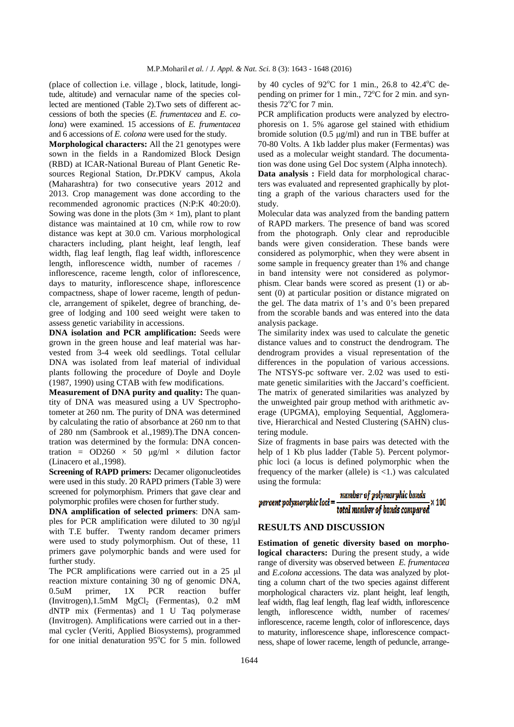(place of collection i.e. village , block, latitude, longitude, altitude) and vernacular name of the species collected are mentioned (Table 2).Two sets of different accessions of both the species (*E. frumentacea* and *E. colona*) were examined. 15 accessions of *E. frumentacea*  and 6 accessions of *E. colona* were used for the study.

**Morphological characters:** All the 21 genotypes were sown in the fields in a Randomized Block Design (RBD) at ICAR-National Bureau of Plant Genetic Resources Regional Station, Dr.PDKV campus, Akola (Maharashtra) for two consecutive years 2012 and 2013. Crop management was done according to the recommended agronomic practices (N:P:K 40:20:0). Sowing was done in the plots  $(3m \times 1m)$ , plant to plant distance was maintained at 10 cm, while row to row distance was kept at 30.0 cm. Various morphological characters including, plant height, leaf length, leaf width, flag leaf length, flag leaf width, inflorescence length, inflorescence width, number of racemes / inflorescence, raceme length, color of inflorescence, days to maturity, inflorescence shape, inflorescence compactness, shape of lower raceme, length of peduncle, arrangement of spikelet, degree of branching, degree of lodging and 100 seed weight were taken to assess genetic variability in accessions.

**DNA** isolation and PCR amplification: Seeds were grown in the green house and leaf material was harvested from 3-4 week old seedlings. Total cellular DNA was isolated from leaf material of individual plants following the procedure of Doyle and Doyle (1987, 1990) using CTAB with few modifications.

**Measurement of DNA purity and quality:** The quantity of DNA was measured using a UV Spectrophotometer at 260 nm. The purity of DNA was determined by calculating the ratio of absorbance at 260 nm to that of 280 nm (Sambrook et al.,1989).The DNA concentration was determined by the formula: DNA concentration =  $OD260 \times 50 \text{ µg/ml} \times$  dilution factor (Linacero et al.,1998).

**Screening of RAPD primers:** Decamer oligonucleotides were used in this study. 20 RAPD primers (Table 3) were screened for polymorphism. Primers that gave clear and polymorphic profiles were chosen for further study.

**DNA amplification of selected primers**: DNA samples for PCR amplification were diluted to 30 ng/µl with T.E buffer. Twenty random decamer primers were used to study polymorphism. Out of these, 11 primers gave polymorphic bands and were used for further study.

The PCR amplifications were carried out in a 25 µl reaction mixture containing 30 ng of genomic DNA, 0.5uM primer, 1X PCR reaction buffer (Invitrogen),1.5mM MgCl<sub>2</sub> (Fermentas), 0.2 mM dNTP mix (Fermentas) and 1 U Taq polymerase (Invitrogen). Amplifications were carried out in a thermal cycler (Veriti, Applied Biosystems), programmed for one initial denaturation  $95^{\circ}$ C for 5 min. followed by 40 cycles of  $92^{\circ}$ C for 1 min., 26.8 to 42.4 $^{\circ}$ C depending on primer for 1 min.,  $72^{\circ}$ C for 2 min. and synthesis  $72^{\circ}$ C for 7 min.

PCR amplification products were analyzed by electrophoresis on 1. 5% agarose gel stained with ethidium bromide solution  $(0.5 \text{ µg/ml})$  and run in TBE buffer at 70-80 Volts. A 1kb ladder plus maker (Fermentas) was used as a molecular weight standard. The documentation was done using Gel Doc system (Alpha innotech). **Data analysis :** Field data for morphological characters was evaluated and represented graphically by plotting a graph of the various characters used for the study.

Molecular data was analyzed from the banding pattern of RAPD markers. The presence of band was scored from the photograph. Only clear and reproducible bands were given consideration. These bands were considered as polymorphic, when they were absent in some sample in frequency greater than 1% and change in band intensity were not considered as polymorphism. Clear bands were scored as present (1) or absent (0) at particular position or distance migrated on the gel. The data matrix of 1's and 0's been prepared from the scorable bands and was entered into the data analysis package.

The similarity index was used to calculate the genetic distance values and to construct the dendrogram. The dendrogram provides a visual representation of the differences in the population of various accessions. The NTSYS-pc software ver. 2.02 was used to estimate genetic similarities with the Jaccard's coefficient. The matrix of generated similarities was analyzed by the unweighted pair group method with arithmetic average (UPGMA), employing Sequential, Agglomerative, Hierarchical and Nested Clustering (SAHN) clustering module.

Size of fragments in base pairs was detected with the help of 1 Kb plus ladder (Table 5). Percent polymorphic loci (a locus is defined polymorphic when the frequency of the marker (allele) is  $\langle 1$ .) was calculated using the formula:

#### number of polymorphic bands total number of bands compared x 100 percent polymorphic loci =

#### **RESULTS AND DISCUSSION**

**Estimation of genetic diversity based on morphological characters:** During the present study, a wide range of diversity was observed between *E. frumentacea*  and *E.colona* accessions. The data was analyzed by plotting a column chart of the two species against different morphological characters viz. plant height, leaf length, leaf width, flag leaf length, flag leaf width, inflorescence length, inflorescence width, number of racemes/ inflorescence, raceme length, color of inflorescence, days to maturity, inflorescence shape, inflorescence compactness, shape of lower raceme, length of peduncle, arrange-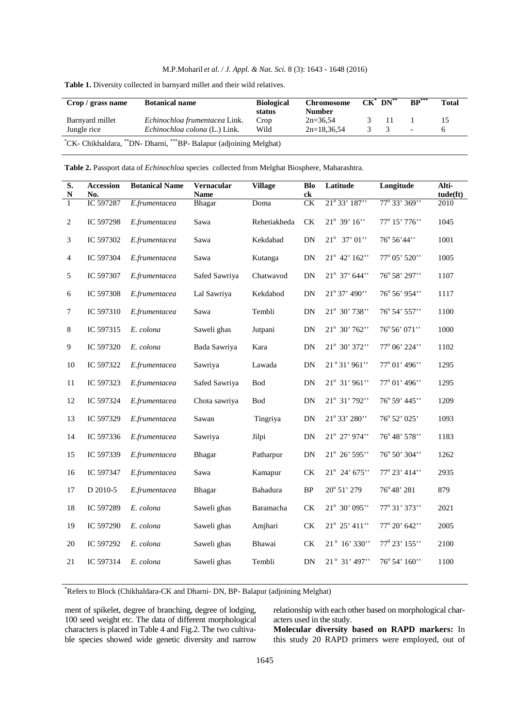| Crop / grass name              | <b>Botanical name</b>                                              | <b>Biological</b><br>status | Chromosome<br><b>Number</b> | $CK^*$ $DN^{**}$ | $BP***$                  | Total |
|--------------------------------|--------------------------------------------------------------------|-----------------------------|-----------------------------|------------------|--------------------------|-------|
| Barnyard millet<br>Jungle rice | Echinochloa frumentacea Link.<br>Echinochloa colona (L.) Link.     | Crop<br>Wild                | $2n=36.54$<br>$2n=18.36.54$ | - 11             | $\overline{\phantom{a}}$ |       |
|                                | "CK- Chikhaldara, ""DN- Dharni, """BP- Balapur (adjoining Melghat) |                             |                             |                  |                          |       |

**Table 1.** Diversity collected in barnyard millet and their wild relatives.

**Table 2.** Passport data of *Echinochloa* species collected from Melghat Biosphere, Maharashtra.

| $\overline{\mathbf{S}}$ .<br>$\mathbf N$ | <b>Accession</b><br>No. | <b>Botanical Name</b> | Vernacular<br><b>Name</b> | <b>Village</b> | <b>Blo</b><br>ck       | Latitude                | Longitude        | Alti-<br>tude(ft) |
|------------------------------------------|-------------------------|-----------------------|---------------------------|----------------|------------------------|-------------------------|------------------|-------------------|
| $\mathbf{1}$                             | IC 597287               | E.frumentacea         | Bhagar                    | Doma           | CK                     | 21° 33' 187"            | 77° 33' 369"     | 2010              |
| $\overline{c}$                           | IC 597298               | E.frumentacea         | Sawa                      | Rehetiakheda   | CK                     | $21^{\circ}$ 39' $16$ " | 77° 15' 776''    | 1045              |
| 3                                        | IC 597302               | E.frumentacea         | Sawa                      | Kekdabad       | DN                     | $21^{\circ}$ 37' 01"    | 76° 56' 44''     | 1001              |
| $\overline{4}$                           | IC 597304               | E.frumentacea         | Sawa                      | Kutanga        | DN                     | 21° 42' 162"            | 77° 05' 520"     | 1005              |
| $\sqrt{5}$                               | IC 597307               | E.frumentacea         | Safed Sawriya             | Chatwavod      | DN                     | 21° 37' 644''           | 76° 58' 297"     | 1107              |
| 6                                        | IC 597308               | E.frumentacea         | Lal Sawriya               | Kekdabod       | DN                     | 21° 37' 490"            | 76° 56' 954"     | 1117              |
| $\tau$                                   | IC 597310               | E.frumentacea         | Sawa                      | Tembli         | DN                     | 21° 30' 738"            | 76° 54' 557"     | 1100              |
| $8\,$                                    | IC 597315               | E. colona             | Saweli ghas               | Jutpani        | DN                     | 21° 30' 762"            | 76°56' 071''     | 1000              |
| 9                                        | IC 597320               | E. colona             | Bada Sawriya              | Kara           | DN                     | 21° 30' 372"            | 77° 06' 224"     | 1102              |
| $10\,$                                   | IC 597322               | E.frumentacea         | Sawriya                   | Lawada         | ${\rm DN}$             | 21°31' 961"             | 77° 01' 496"     | 1295              |
| 11                                       | IC 597323               | E.frumentacea         | Safed Sawriya             | <b>Bod</b>     | DN                     | 21° 31' 961"            | 77° 01' 496''    | 1295              |
| $12\,$                                   | IC 597324               | E.frumentacea         | Chota sawriya             | <b>Bod</b>     | DN                     | 21° 31' 792"            | 76° 59' 445''    | 1209              |
| 13                                       | IC 597329               | E.frumentacea         | Sawan                     | Tingriya       | ${\rm DN}$             | 21° 33' 280"            | 76° 52' 025'     | 1093              |
| 14                                       | IC 597336               | E.frumentacea         | Sawriya                   | Jilpi          | DN                     | 21° 27' 974''           | 76° 48' 578''    | 1183              |
| 15                                       | IC 597339               | E.frumentacea         | Bhagar                    | Patharpur      | DN                     | 21° 26' 595"            | 76° 50' 304"     | 1262              |
| 16                                       | IC 597347               | E.frumentacea         | Sawa                      | Kamapur        | CK                     | 21° 24' 675"            | 77° 23' 414''    | 2935              |
| 17                                       | D 2010-5                | E.frumentacea         | Bhagar                    | Bahadura       | BP                     | $20^{\circ} 51' 279$    | 76°48' 281       | 879               |
| $18\,$                                   | IC 597289               | E. colona             | Saweli ghas               | Baramacha      | $\mathrm{C}\mathrm{K}$ | 21° 30' 095"            | 77° 31' 373''    | 2021              |
| 19                                       | IC 597290               | E. colona             | Saweli ghas               | Amjhari        | $\mathrm{C}\mathrm{K}$ | 21° 25' 411"            | 77° 20' 642"     | 2005              |
| 20                                       | IC 597292               | E. colona             | Saweli ghas               | Bhawai         | CK                     | 21° 16' 330"            | $77^0$ 23' 155'' | 2100              |
| 21                                       | IC 597314               | E. colona             | Saweli ghas               | Tembli         | ${\rm DN}$             | 21° 31' 497"            | 76° 54' 160"     | 1100              |
|                                          |                         |                       |                           |                |                        |                         |                  |                   |

\*Refers to Block (Chikhaldara-CK and Dharni- DN, BP- Balapur (adjoining Melghat)

ment of spikelet, degree of branching, degree of lodging, 100 seed weight etc. The data of different morphological characters is placed in Table 4 and Fig.2. The two cultivable species showed wide genetic diversity and narrow

relationship with each other based on morphological characters used in the study.

**Molecular diversity based on RAPD markers:** In this study 20 RAPD primers were employed, out of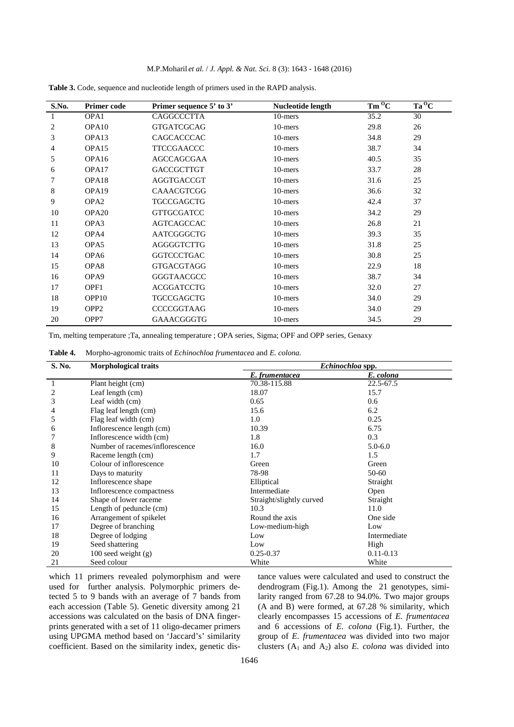| S.No. | Primer code       | Primer sequence 5' to 3' | Nucleotide length | $Tm^{O}C$ | $Ta^0C$ |
|-------|-------------------|--------------------------|-------------------|-----------|---------|
|       | OPA1              | CAGGCCCTTA               | 10-mers           | 35.2      | 30      |
| 2     | OPA <sub>10</sub> | <b>GTGATCGCAG</b>        | 10-mers           | 29.8      | 26      |
| 3     | OPA <sub>13</sub> | CAGCACCCAC               | 10-mers           | 34.8      | 29      |
| 4     | OPA <sub>15</sub> | <b>TTCCGAACCC</b>        | 10-mers           | 38.7      | 34      |
| 5     | OPA <sub>16</sub> | AGCCAGCGAA               | 10-mers           | 40.5      | 35      |
| 6     | OPA17             | <b>GACCGCTTGT</b>        | 10-mers           | 33.7      | 28      |
| 7     | OPA <sub>18</sub> | <b>AGGTGACCGT</b>        | 10-mers           | 31.6      | 25      |
| 8     | OPA <sub>19</sub> | CAAACGTCGG               | 10-mers           | 36.6      | 32      |
| 9     | OPA <sub>2</sub>  | <b>TGCCGAGCTG</b>        | 10-mers           | 42.4      | 37      |
| 10    | OPA <sub>20</sub> | <b>GTTGCGATCC</b>        | 10-mers           | 34.2      | 29      |
| 11    | OPA3              | <b>AGTCAGCCAC</b>        | 10-mers           | 26.8      | 21      |
| 12    | OPA4              | AATCGGGCTG               | 10-mers           | 39.3      | 35      |
| 13    | OPA5              | AGGGGTCTTG               | 10-mers           | 31.8      | 25      |
| 14    | OPA6              | <b>GGTCCCTGAC</b>        | 10-mers           | 30.8      | 25      |
| 15    | OPA8              | <b>GTGACGTAGG</b>        | 10-mers           | 22.9      | 18      |
| 16    | OPA <sub>9</sub>  | <b>GGGTAACGCC</b>        | 10-mers           | 38.7      | 34      |
| 17    | OPF1              | <b>ACGGATCCTG</b>        | 10-mers           | 32.0      | 27      |
| 18    | OPP <sub>10</sub> | <b>TGCCGAGCTG</b>        | 10-mers           | 34.0      | 29      |
| 19    | OPP <sub>2</sub>  | <b>CCCCGGTAAG</b>        | 10-mers           | 34.0      | 29      |
| 20    | OPP7              | GAAACGGGTG               | 10-mers           | 34.5      | 29      |

**Table 3.** Code, sequence and nucleotide length of primers used in the RAPD analysis.

Tm, melting temperature ;Ta, annealing temperature ; OPA series, Sigma; OPF and OPP series, Genaxy

**Table 4.** Morpho-agronomic traits of *Echinochloa frumentacea* and *E. colona.*

| S. No. | <b>Morphological traits</b>     | Echinochloa spp.         |               |  |  |
|--------|---------------------------------|--------------------------|---------------|--|--|
|        |                                 | E. frumentacea           | E. colona     |  |  |
|        | Plant height (cm)               | 70.38-115.88             | 22.5-67.5     |  |  |
| 2      | Leaf length (cm)                | 18.07                    | 15.7          |  |  |
| 3      | Leaf width (cm)                 | 0.65                     | 0.6           |  |  |
| 4      | Flag leaf length (cm)           | 15.6                     | 6.2           |  |  |
| 5      | Flag leaf width (cm)            | 1.0                      | 0.25          |  |  |
| 6      | Inflorescence length (cm)       | 10.39                    | 6.75          |  |  |
|        | Inflorescence width (cm)        | 1.8                      | 0.3           |  |  |
| 8      | Number of racemes/inflorescence | 16.0                     | $5.0 - 6.0$   |  |  |
| 9      | Raceme length (cm)              | 1.7                      | 1.5           |  |  |
| 10     | Colour of inflorescence         | Green                    | Green         |  |  |
| 11     | Days to maturity                | 78-98                    | 50-60         |  |  |
| 12     | Inflorescence shape             | Elliptical               | Straight      |  |  |
| 13     | Inflorescence compactness       | Intermediate             | Open          |  |  |
| 14     | Shape of lower raceme           | Straight/slightly curved | Straight      |  |  |
| 15     | Length of peduncle (cm)         | 10.3                     | 11.0          |  |  |
| 16     | Arrangement of spikelet         | Round the axis           | One side      |  |  |
| 17     | Degree of branching             | Low-medium-high          | Low           |  |  |
| 18     | Degree of lodging               | Low                      | Intermediate  |  |  |
| 19     | Seed shattering                 | Low                      | High          |  |  |
| 20     | $100$ seed weight $(g)$         | $0.25 - 0.37$            | $0.11 - 0.13$ |  |  |
| 21     | Seed colour                     | White                    | White         |  |  |

which 11 primers revealed polymorphism and were used for further analysis. Polymorphic primers detected 5 to 9 bands with an average of 7 bands from each accession (Table 5). Genetic diversity among 21 accessions was calculated on the basis of DNA fingerprints generated with a set of 11 oligo-decamer primers using UPGMA method based on 'Jaccard's' similarity coefficient. Based on the similarity index, genetic dis-

tance values were calculated and used to construct the dendrogram (Fig.1). Among the 21 genotypes, similarity ranged from 67.28 to 94.0%. Two major groups (A and B) were formed, at 67.28 % similarity, which clearly encompasses 15 accessions of *E. frumentacea* and 6 accessions of *E. colona* (Fig.1). Further, the group of *E. frumentacea* was divided into two major clusters  $(A_1 \text{ and } A_2)$  also *E. colona* was divided into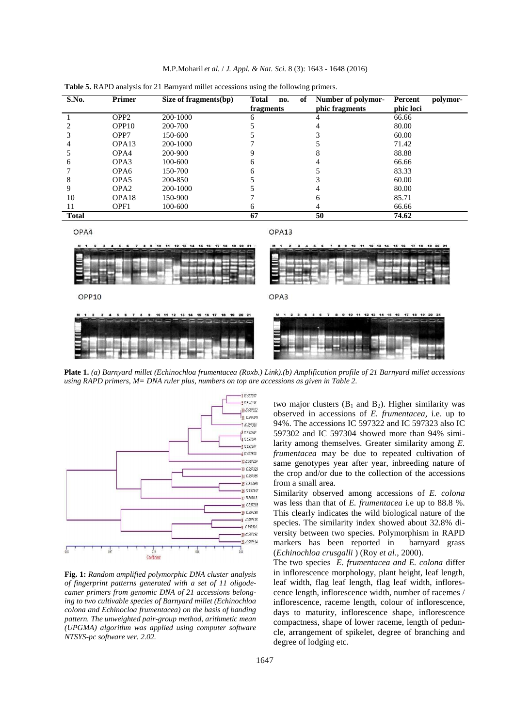| S.No.        | <b>Primer</b>     | Size of fragments(bp) | of<br>Total<br>no.<br>fragments | Number of polymor-<br>phic fragments | Percent<br>polymor-<br>phic loci |
|--------------|-------------------|-----------------------|---------------------------------|--------------------------------------|----------------------------------|
|              | OPP <sub>2</sub>  | 200-1000              |                                 |                                      | 66.66                            |
|              | OPP <sub>10</sub> | 200-700               |                                 |                                      | 80.00                            |
|              | OPP7              | 150-600               |                                 |                                      | 60.00                            |
| 4            | OPA <sub>13</sub> | 200-1000              |                                 |                                      | 71.42                            |
|              | OPA4              | 200-900               |                                 |                                      | 88.88                            |
| h            | OPA3              | 100-600               | h                               |                                      | 66.66                            |
|              | OPA <sub>6</sub>  | 150-700               | n                               |                                      | 83.33                            |
|              | OPA <sub>5</sub>  | 200-850               |                                 |                                      | 60.00                            |
| 9            | OPA <sub>2</sub>  | 200-1000              |                                 |                                      | 80.00                            |
| 10           | OPA <sub>18</sub> | 150-900               |                                 | h                                    | 85.71                            |
| 11           | OPF1              | 100-600               | h.                              |                                      | 66.66                            |
| <b>Total</b> |                   |                       | 67                              | 50                                   | 74.62                            |

M.P.Moharil *et al.* / *J. Appl. & Nat. Sci.* 8 (3): 1643 - 1648 (2016)

**Table 5.** RAPD analysis for 21 Barnyard millet accessions using the following primers.

OPA4

OPA13



**Plate 1.** *(a) Barnyard millet (Echinochloa frumentacea (Roxb.) Link).(b) Amplification profile of 21 Barnyard millet accessions using RAPD primers, M= DNA ruler plus, numbers on top are accessions as given in Table 2.*



**Fig. 1:** *Random amplified polymorphic DNA cluster analysis of fingerprint patterns generated with a set of 11 oligodecamer primers from genomic DNA of 21 accessions belonging to two cultivable species of Barnyard millet (Echinochloa colona and Echinocloa frumentacea) on the basis of banding pattern. The unweighted pair-group method, arithmetic mean (UPGMA) algorithm was applied using computer software NTSYS-pc software ver. 2.02.*

two major clusters  $(B_1 \text{ and } B_2)$ . Higher similarity was observed in accessions of *E. frumentacea,* i.e. up to 94%. The accessions IC 597322 and IC 597323 also IC 597302 and IC 597304 showed more than 94% similarity among themselves. Greater similarity among *E. frumentacea* may be due to repeated cultivation of same genotypes year after year, inbreeding nature of the crop and/or due to the collection of the accessions from a small area.

Similarity observed among accessions of *E. colona*  was less than that of *E. frumentacea* i.e up to 88.8 %. This clearly indicates the wild biological nature of the species. The similarity index showed about 32.8% diversity between two species. Polymorphism in RAPD markers has been reported in barnyard grass (*Echinochloa crusgalli* ) (Roy *et al*., 2000).

The two species *E. frumentacea and E. colona* differ in inflorescence morphology, plant height, leaf length, leaf width, flag leaf length, flag leaf width, inflorescence length, inflorescence width, number of racemes / inflorescence, raceme length, colour of inflorescence, days to maturity, inflorescence shape, inflorescence compactness, shape of lower raceme, length of peduncle, arrangement of spikelet, degree of branching and degree of lodging etc.